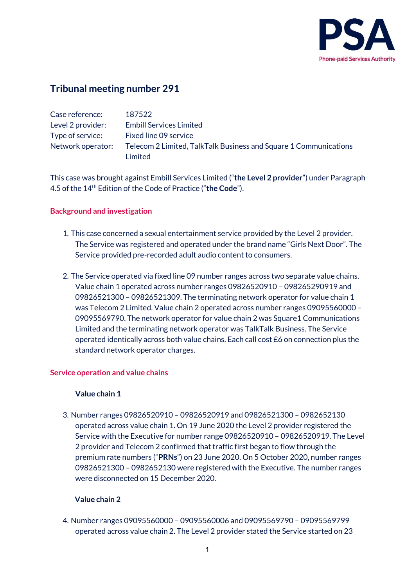

# **Tribunal meeting number 291**

| Case reference:   | 187522                                                           |
|-------------------|------------------------------------------------------------------|
| Level 2 provider: | <b>Embill Services Limited</b>                                   |
| Type of service:  | Fixed line 09 service                                            |
| Network operator: | Telecom 2 Limited, TalkTalk Business and Square 1 Communications |
|                   | Limited                                                          |

This case was brought against Embill Services Limited ("**the Level 2 provider**") under Paragraph 4.5 of the 14th Edition of the Code of Practice ("**the Code**").

### **Background and investigation**

- 1. This case concerned a sexual entertainment service provided by the Level 2 provider. The Service was registered and operated under the brand name "Girls Next Door". The Service provided pre-recorded adult audio content to consumers.
- 2. The Service operated via fixed line 09 number ranges across two separate value chains. Value chain 1 operated across number ranges 09826520910 – 098265290919 and 09826521300 – 09826521309. The terminating network operator for value chain 1 was Telecom 2 Limited. Value chain 2 operated across number ranges 09095560000 – 09095569790. The network operator for value chain 2 was Square1 Communications Limited and the terminating network operator was TalkTalk Business. The Service operated identically across both value chains. Each call cost £6 on connection plus the standard network operator charges.

### **Service operation and value chains**

### **Value chain 1**

3. Number ranges 09826520910 – 09826520919 and 09826521300 – 0982652130 operated across value chain 1. On 19 June 2020 the Level 2 provider registered the Service with the Executive for number range 09826520910 – 09826520919. The Level 2 provider and Telecom 2 confirmed that traffic first began to flow through the premium rate numbers ("**PRNs**") on 23 June 2020. On 5 October 2020, number ranges 09826521300 – 0982652130 were registered with the Executive. The number ranges were disconnected on 15 December 2020.

### **Value chain 2**

4. Number ranges 09095560000 – 09095560006 and 09095569790 – 09095569799 operated across value chain 2. The Level 2 provider stated the Service started on 23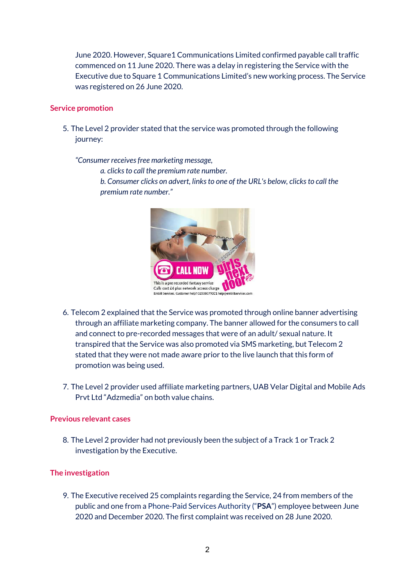June 2020. However, Square1 Communications Limited confirmed payable call traffic commenced on 11 June 2020. There was a delay in registering the Service with the Executive due to Square 1 Communications Limited's new working process. The Service was registered on 26 June 2020.

### **Service promotion**

5. The Level 2 provider stated that the service was promoted through the following journey:

*"Consumer receives free marketing message,*

*a. clicks to call the premium rate number.*

*b. Consumer clicks on advert, links to one of the URL's below, clicks to call the premium rate number."*



- 6. Telecom 2 explained that the Service was promoted through online banner advertising through an affiliate marketing company. The banner allowed for the consumers to call and connect to pre-recorded messages that were of an adult/ sexual nature. It transpired that the Service was also promoted via SMS marketing, but Telecom 2 stated that they were not made aware prior to the live launch that this form of promotion was being used.
- 7. The Level 2 provider used affiliate marketing partners, UAB Velar Digital and Mobile Ads Prvt Ltd "Adzmedia" on both value chains.

### **Previous relevant cases**

8. The Level 2 provider had not previously been the subject of a Track 1 or Track 2 investigation by the Executive.

### **The investigation**

9. The Executive received 25 complaints regarding the Service, 24 from members of the public and one from a Phone-Paid Services Authority ("**PSA**") employee between June 2020 and December 2020. The first complaint was received on 28 June 2020.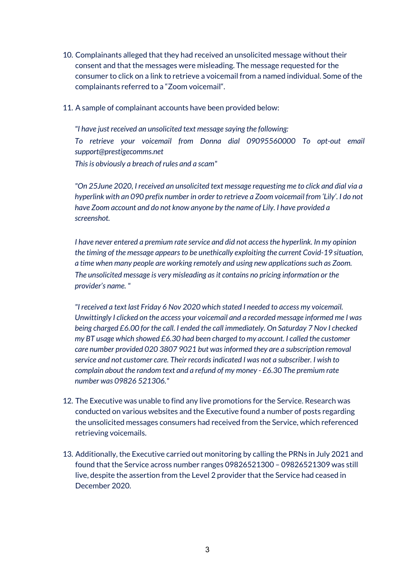- 10. Complainants alleged that they had received an unsolicited message without their consent and that the messages were misleading. The message requested for the consumer to click on a link to retrieve a voicemail from a named individual. Some of the complainants referred to a "Zoom voicemail".
- 11. A sample of complainant accounts have been provided below:

*"I have just received an unsolicited text message saying the following: To retrieve your voicemail from Donna dial 09095560000 To opt-out email support@prestigecomms.net This is obviously a breach of rules and a scam"*

*"On 25June 2020, I received an unsolicited text message requesting me to click and dial via a hyperlink with an 090 prefix number in order to retrieve a Zoom voicemail from 'Lily'. I do not have Zoom account and do not know anyone by the name of Lily. I have provided a screenshot.*

*I have never entered a premium rate service and did not access the hyperlink. In my opinion the timing of the message appears to be unethically exploiting the current Covid-19 situation, a time when many people are working remotely and using new applications such as Zoom. The unsolicited message is very misleading as it contains no pricing information or the provider's name. "*

*"I received a text last Friday 6 Nov 2020 which stated I needed to access my voicemail. Unwittingly I clicked on the access your voicemail and a recorded message informed me I was being charged £6.00 for the call. I ended the call immediately. On Saturday 7 Nov I checked my BT usage which showed £6.30 had been charged to my account. I called the customer care number provided 020 3807 9021 but was informed they are a subscription removal service and not customer care. Their records indicated I was not a subscriber. I wish to complain about the random text and a refund of my money - £6.30 The premium rate number was 09826 521306."*

- 12. The Executive was unable to find any live promotions for the Service. Research was conducted on various websites and the Executive found a number of posts regarding the unsolicited messages consumers had received from the Service, which referenced retrieving voicemails.
- 13. Additionally, the Executive carried out monitoring by calling the PRNs in July 2021 and found that the Service across number ranges 09826521300 – 09826521309 was still live, despite the assertion from the Level 2 provider that the Service had ceased in December 2020.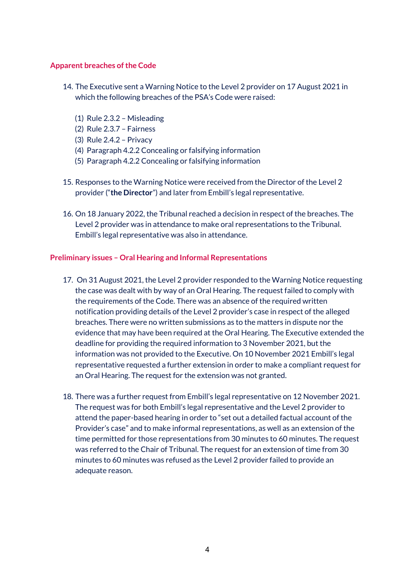### **Apparent breaches of the Code**

- 14. The Executive sent a Warning Notice to the Level 2 provider on 17 August 2021 in which the following breaches of the PSA's Code were raised:
	- (1) Rule 2.3.2 Misleading
	- (2) Rule 2.3.7 Fairness
	- (3) Rule 2.4.2 Privacy
	- (4) Paragraph 4.2.2 Concealing or falsifying information
	- (5) Paragraph 4.2.2 Concealing or falsifying information
- 15. Responses to the Warning Notice were received from the Director of the Level 2 provider ("**the Director**") and later from Embill's legal representative.
- 16. On 18 January 2022, the Tribunal reached a decision in respect of the breaches. The Level 2 provider was in attendance to make oral representations to the Tribunal. Embill's legal representative was also in attendance.

### **Preliminary issues – Oral Hearing and Informal Representations**

- 17. On 31 August 2021, the Level 2 provider responded to the Warning Notice requesting the case was dealt with by way of an Oral Hearing. The request failed to comply with the requirements of the Code. There was an absence of the required written notification providing details of the Level 2 provider's case in respect of the alleged breaches. There were no written submissions as to the matters in dispute nor the evidence that may have been required at the Oral Hearing. The Executive extended the deadline for providing the required information to 3 November 2021, but the information was not provided to the Executive. On 10 November 2021 Embill's legal representative requested a further extension in order to make a compliant request for an Oral Hearing. The request for the extension was not granted.
- 18. There was a further request from Embill's legal representative on 12 November 2021. The request was for both Embill's legal representative and the Level 2 provider to attend the paper-based hearing in order to "set out a detailed factual account of the Provider's case" and to make informal representations, as well as an extension of the time permitted for those representations from 30 minutes to 60 minutes. The request was referred to the Chair of Tribunal. The request for an extension of time from 30 minutes to 60 minutes was refused as the Level 2 provider failed to provide an adequate reason.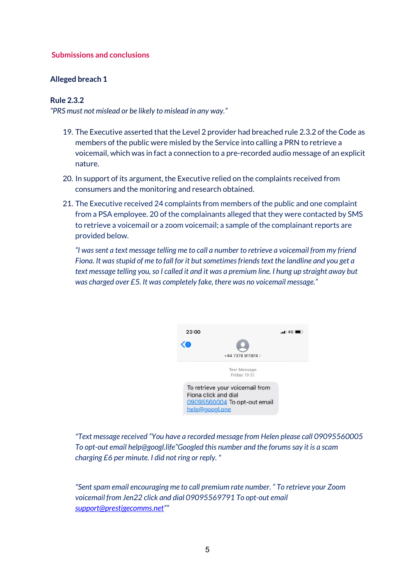### **Submissions and conclusions**

### **Alleged breach 1**

### **Rule 2.3.2**

*"PRS must not mislead or be likely to mislead in any way."*

- 19. The Executive asserted that the Level 2 provider had breached rule 2.3.2 of the Code as members of the public were misled by the Service into calling a PRN to retrieve a voicemail, which was in fact a connection to a pre-recorded audio message of an explicit nature.
- 20. In support of its argument, the Executive relied on the complaints received from consumers and the monitoring and research obtained.
- 21. The Executive received 24 complaints from members of the public and one complaint from a PSA employee. 20 of the complainants alleged that they were contacted by SMS to retrieve a voicemail or a zoom voicemail; a sample of the complainant reports are provided below.

*"I was sent a text message telling me to call a number to retrieve a voicemail from my friend Fiona. It was stupid of me to fall for it but sometimes friends text the landline and you get a text message telling you, so I called it and it was a premium line. I hung up straight away but was charged over £5. It was completely fake, there was no voicemail message."*



*"Text message received "You have a recorded message from Helen please call 09095560005 To opt-out email help@googl.life"Googled this number and the forums say it is a scam charging £6 per minute. I did not ring or reply. "*

*"Sent spam email encouraging me to call premium rate number. " To retrieve your Zoom voicemail from Jen22 click and dial 09095569791 To opt-out email [support@prestigecomms.net"](mailto:support@prestigecomms.net)"*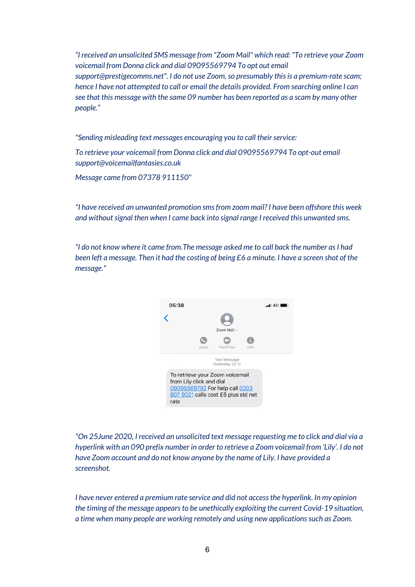*"I received an unsolicited SMS message from "Zoom Mail" which read: "To retrieve your Zoom voicemail from Donna click and dial 09095569794 To opt out email support@prestigecomms.net". I do not use Zoom, so presumably this is a premium-rate scam; hence I have not attempted to call or email the details provided. From searching online I can see that this message with the same 09 number has been reported as a scam by many other people."*

*"Sending misleading text messages encouraging you to call their service:*

*To retrieve your voicemail from Donna click and dial 09095569794 To opt-out email support@voicemailfantasies.co.uk*

*Message came from 07378 911150"*

*"I have received an unwanted promotion sms from zoom mail? I have been offshore this week and without signal then when I came back into signal range I received this unwanted sms.* 

*"I do not know where it came from.The message asked me to call back the number as I had been left a message. Then it had the costing of being £6 a minute. I have a screen shot of the message."* 



*"On 25June 2020, I received an unsolicited text message requesting me to click and dial via a hyperlink with an 090 prefix number in order to retrieve a Zoom voicemail from 'Lily'. I do not have Zoom account and do not know anyone by the name of Lily. I have provided a screenshot.*

*I have never entered a premium rate service and did not access the hyperlink. In my opinion the timing of the message appears to be unethically exploiting the current Covid-19 situation, a time when many people are working remotely and using new applications such as Zoom.*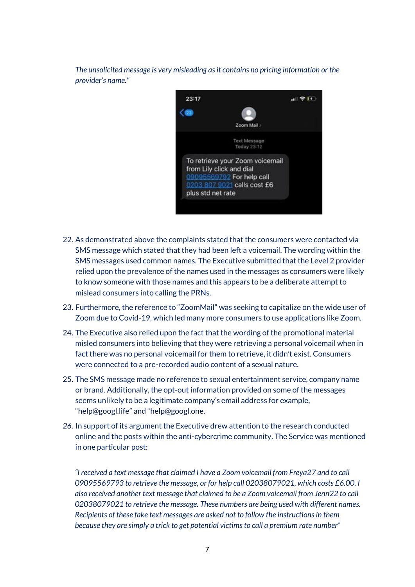*The unsolicited message is very misleading as it contains no pricing information or the provider's name."*



- 22. As demonstrated above the complaints stated that the consumers were contacted via SMS message which stated that they had been left a voicemail. The wording within the SMS messages used common names. The Executive submitted that the Level 2 provider relied upon the prevalence of the names used in the messages as consumers were likely to know someone with those names and this appears to be a deliberate attempt to mislead consumers into calling the PRNs.
- 23. Furthermore, the reference to "ZoomMail" was seeking to capitalize on the wide user of Zoom due to Covid-19, which led many more consumers to use applications like Zoom.
- 24. The Executive also relied upon the fact that the wording of the promotional material misled consumers into believing that they were retrieving a personal voicemail when in fact there was no personal voicemail for them to retrieve, it didn't exist. Consumers were connected to a pre-recorded audio content of a sexual nature.
- 25. The SMS message made no reference to sexual entertainment service, company name or brand. Additionally, the opt-out information provided on some of the messages seems unlikely to be a legitimate company's email address for example, "help@googl.life" and "help@googl.one.
- *26.* In support of its argument the Executive drew attention to the research conducted online and the posts within the anti-cybercrime community. The Service was mentioned in one particular post:

*"I received a text message that claimed I have a Zoom voicemail from Freya27 and to call 09095569793 to retrieve the message, or for help call 02038079021, which costs £6.00. I also received another text message that claimed to be a Zoom voicemail from Jenn22 to call 02038079021 to retrieve the message. These numbers are being used with different names. Recipients of these fake text messages are asked not to follow the instructions in them because they are simply a trick to get potential victims to call a premium rate number"*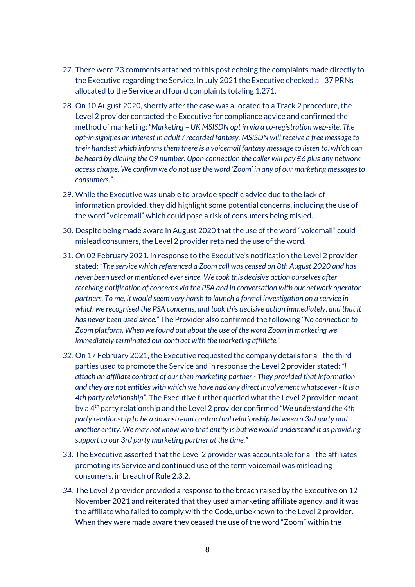- 27. There were 73 comments attached to this post echoing the complaints made directly to the Executive regarding the Service. In July 2021 the Executive checked all 37 PRNs allocated to the Service and found complaints totaling 1,271.
- 28. On 10 August 2020, shortly after the case was allocated to a Track 2 procedure, the Level 2 provider contacted the Executive for compliance advice and confirmed the method of marketing: *"Marketing – UK MSISDN opt in via a co-registration web-site. The opt-in signifies an interest in adult / recorded fantasy. MSISDN will receive a free message to their handset which informs them there is a voicemail fantasy message to listen to, which can be heard by dialling the 09 number. Upon connection the caller will pay £6 plus any network access charge. We confirm we do not use the word 'Zoom' in any of our marketing messages to consumers."*
- 29. While the Executive was unable to provide specific advice due to the lack of information provided, they did highlight some potential concerns, including the use of the word "voicemail" which could pose a risk of consumers being misled.
- 30. Despite being made aware in August 2020 that the use of the word "voicemail" could mislead consumers, the Level 2 provider retained the use of the word.
- 31. *O*n 02 February 2021, in response to the Executive's notification the Level 2 provider stated: *"The service which referenced a Zoom call was ceased on 8th August 2020 and has never been used or mentioned ever since. We took this decisive action ourselves after receiving notification of concerns via the PSA and in conversation with our network operator partners. To me, it would seem very harsh to launch a formal investigation on a service in which we recognised the PSA concerns, and took this decisive action immediately, and that it has never been used since."* The Provider also confirmed the following *''No connection to Zoom platform. When we found out about the use of the word Zoom in marketing we immediately terminated our contract with the marketing affiliate."*
- *32.* On 17 February 2021, the Executive requested the company details for all the third parties used to promote the Service and in response the Level 2 provider stated: *"I attach an affiliate contract of our then marketing partner - They provided that information and they are not entities with which we have had any direct involvement whatsoever - It is a 4th party relationship"*. The Executive further queried what the Level 2 provider meant by a 4th party relationship and the Level 2 provider confirmed *"We understand the 4th party relationship to be a downstream contractual relationship between a 3rd party and another entity. We may not know who that entity is but we would understand it as providing support to our 3rd party marketing partner at the time."*
- 33. The Executive asserted that the Level 2 provider was accountable for all the affiliates promoting its Service and continued use of the term voicemail was misleading consumers, in breach of Rule 2.3.2.
- *34.* The Level 2 provider provided a response to the breach raised by the Executive on 12 November 2021 and reiterated that they used a marketing affiliate agency, and it was the affiliate who failed to comply with the Code, unbeknown to the Level 2 provider. When they were made aware they ceased the use of the word "Zoom" within the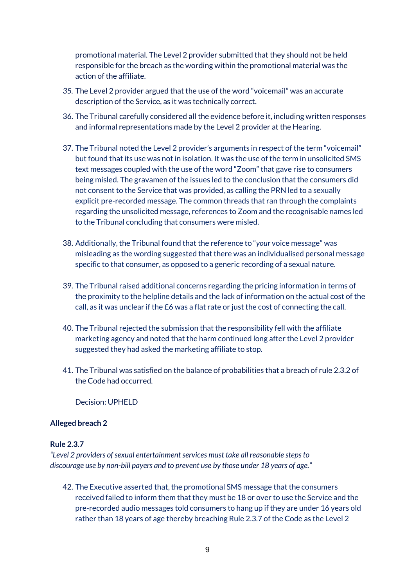promotional material. The Level 2 provider submitted that they should not be held responsible for the breach as the wording within the promotional material was the action of the affiliate.

- *35.* The Level 2 provider argued that the use of the word "voicemail" was an accurate description of the Service, as it was technically correct.
- 36. The Tribunal carefully considered all the evidence before it, including written responses and informal representations made by the Level 2 provider at the Hearing.
- 37. The Tribunal noted the Level 2 provider's arguments in respect of the term "voicemail" but found that its use was not in isolation. It was the use of the term in unsolicited SMS text messages coupled with the use of the word "Zoom" that gave rise to consumers being misled. The gravamen of the issues led to the conclusion that the consumers did not consent to the Service that was provided, as calling the PRN led to a sexually explicit pre-recorded message. The common threads that ran through the complaints regarding the unsolicited message, references to Zoom and the recognisable names led to the Tribunal concluding that consumers were misled.
- 38. Additionally, the Tribunal found that the reference to "*your* voice message" was misleading as the wording suggested that there was an individualised personal message specific to that consumer, as opposed to a generic recording of a sexual nature.
- 39. The Tribunal raised additional concerns regarding the pricing information in terms of the proximity to the helpline details and the lack of information on the actual cost of the call, as it was unclear if the £6 was a flat rate or just the cost of connecting the call.
- 40. The Tribunal rejected the submission that the responsibility fell with the affiliate marketing agency and noted that the harm continued long after the Level 2 provider suggested they had asked the marketing affiliate to stop.
- 41. The Tribunal was satisfied on the balance of probabilities that a breach of rule 2.3.2 of the Code had occurred.

Decision: UPHELD

### **Alleged breach 2**

#### **Rule 2.3.7**

*"Level 2 providers of sexual entertainment services must take all reasonable steps to discourage use by non-bill payers and to prevent use by those under 18 years of age."*

42. The Executive asserted that, the promotional SMS message that the consumers received failed to inform them that they must be 18 or over to use the Service and the pre-recorded audio messages told consumers to hang up if they are under 16 years old rather than 18 years of age thereby breaching Rule 2.3.7 of the Code as the Level 2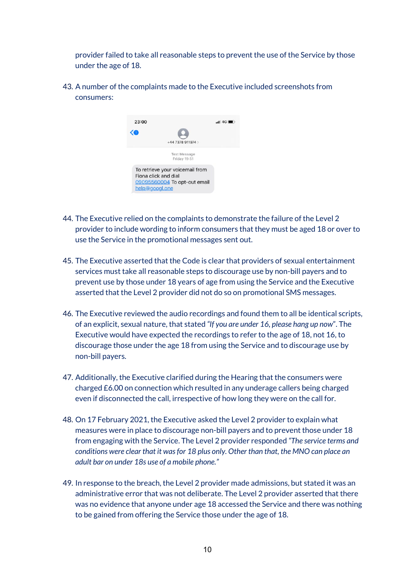provider failed to take all reasonable steps to prevent the use of the Service by those under the age of 18.

43. A number of the complaints made to the Executive included screenshots from consumers:



- 44. The Executive relied on the complaints to demonstrate the failure of the Level 2 provider to include wording to inform consumers that they must be aged 18 or over to use the Service in the promotional messages sent out.
- 45. The Executive asserted that the Code is clear that providers of sexual entertainment services must take all reasonable steps to discourage use by non-bill payers and to prevent use by those under 18 years of age from using the Service and the Executive asserted that the Level 2 provider did not do so on promotional SMS messages.
- 46. The Executive reviewed the audio recordings and found them to all be identical scripts, of an explicit, sexual nature, that stated *"If you are under 16, please hang up now*". The Executive would have expected the recordings to refer to the age of 18, not 16, to discourage those under the age 18 from using the Service and to discourage use by non-bill payers.
- 47. Additionally, the Executive clarified during the Hearing that the consumers were charged £6.00 on connection which resulted in any underage callers being charged even if disconnected the call, irrespective of how long they were on the call for.
- 48. On 17 February 2021, the Executive asked the Level 2 provider to explain what measures were in place to discourage non-bill payers and to prevent those under 18 from engaging with the Service. The Level 2 provider responded *"The service terms and conditions were clear that it was for 18 plus only. Other than that, the MNO can place an adult bar on under 18s use of a mobile phone."*
- 49. In response to the breach, the Level 2 provider made admissions, but stated it was an administrative error that was not deliberate. The Level 2 provider asserted that there was no evidence that anyone under age 18 accessed the Service and there was nothing to be gained from offering the Service those under the age of 18.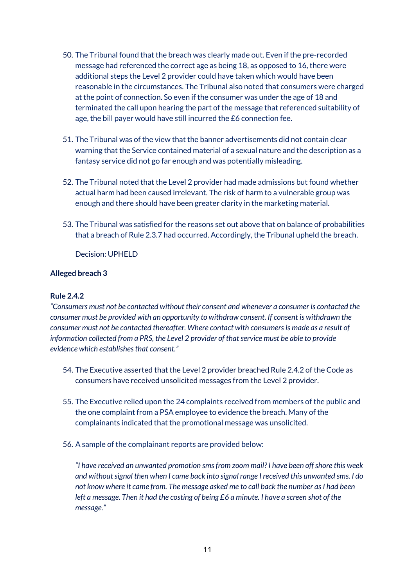- 50. The Tribunal found that the breach was clearly made out. Even if the pre-recorded message had referenced the correct age as being 18, as opposed to 16, there were additional steps the Level 2 provider could have taken which would have been reasonable in the circumstances. The Tribunal also noted that consumers were charged at the point of connection. So even if the consumer was under the age of 18 and terminated the call upon hearing the part of the message that referenced suitability of age, the bill payer would have still incurred the £6 connection fee.
- 51. The Tribunal was of the view that the banner advertisements did not contain clear warning that the Service contained material of a sexual nature and the description as a fantasy service did not go far enough and was potentially misleading.
- 52. The Tribunal noted that the Level 2 provider had made admissions but found whether actual harm had been caused irrelevant. The risk of harm to a vulnerable group was enough and there should have been greater clarity in the marketing material.
- 53. The Tribunal was satisfied for the reasons set out above that on balance of probabilities that a breach of Rule 2.3.7 had occurred. Accordingly, the Tribunal upheld the breach.

Decision: UPHELD

### **Alleged breach 3**

### **Rule 2.4.2**

*"Consumers must not be contacted without their consent and whenever a consumer is contacted the consumer must be provided with an opportunity to withdraw consent. If consent is withdrawn the consumer must not be contacted thereafter. Where contact with consumers is made as a result of information collected from a PRS, the Level 2 provider of that service must be able to provide evidence which establishes that consent."*

- 54. The Executive asserted that the Level 2 provider breached Rule 2.4.2 of the Code as consumers have received unsolicited messages from the Level 2 provider.
- 55. The Executive relied upon the 24 complaints received from members of the public and the one complaint from a PSA employee to evidence the breach. Many of the complainants indicated that the promotional message was unsolicited.
- 56. A sample of the complainant reports are provided below:

*"I have received an unwanted promotion smsfrom zoom mail? I have been off shore this week and without signal then when I came back into signal range I received this unwanted sms. I do not know where it came from. The message asked me to call back the number as I had been left a message. Then it had the costing of being £6 a minute. I have a screen shot of the message."*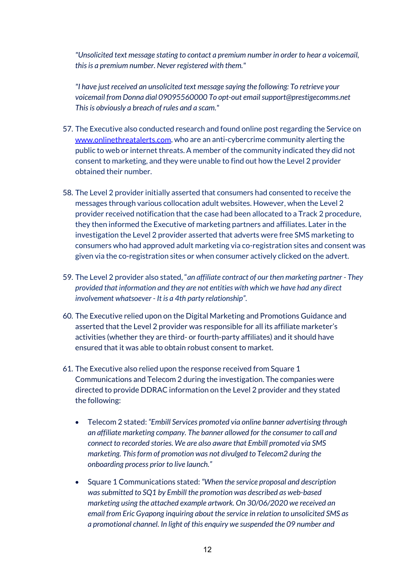*"Unsolicited text message stating to contact a premium number in order to hear a voicemail, this is a premium number. Never registered with them."*

*"I have just received an unsolicited text message saying the following: To retrieve your voicemail from Donna dial 09095560000 To opt-out email support@prestigecomms.net This is obviously a breach of rules and a scam."*

- 57. The Executive also conducted research and found online post regarding the Service on [www.onlinethreatalerts.com,](www.onlinethreatalerts.com) who are an anti-cybercrime community alerting the public to web or internet threats. A member of the community indicated they did not consent to marketing, and they were unable to find out how the Level 2 provider obtained their number.
- 58. The Level 2 provider initially asserted that consumers had consented to receive the messages through various collocation adult websites. However, when the Level 2 provider received notification that the case had been allocated to a Track 2 procedure, they then informed the Executive of marketing partners and affiliates. Later in the investigation the Level 2 provider asserted that adverts were free SMS marketing to consumers who had approved adult marketing via co-registration sites and consent was given via the co-registration sites or when consumer actively clicked on the advert.
- 59. The Level 2 provider also stated, "*an affiliate contract of our then marketing partner - They provided that information and they are not entities with which we have had any direct involvement whatsoever - It is a 4th party relationship".*
- 60. The Executive relied upon on the Digital Marketing and Promotions Guidance and asserted that the Level 2 provider was responsible for all its affiliate marketer's activities (whether they are third- or fourth-party affiliates) and it should have ensured that it was able to obtain robust consent to market.
- 61. The Executive also relied upon the response received from Square 1 Communications and Telecom 2 during the investigation. The companies were directed to provide DDRAC information on the Level 2 provider and they stated the following:
	- Telecom 2 stated: *"Embill Services promoted via online banner advertising through an affiliate marketing company. The banner allowed for the consumer to call and connect to recorded stories. We are also aware that Embill promoted via SMS marketing. This form of promotion was not divulged to Telecom2 during the onboarding process prior to live launch."*
	- Square 1 Communications stated: *"When the service proposal and description was submitted to SQ1 by Embill the promotion was described as web-based marketing using the attached example artwork. On 30/06/2020 we received an email from Eric Gyapong inquiring about the service in relation to unsolicited SMS as a promotional channel. In light of this enquiry we suspended the 09 number and*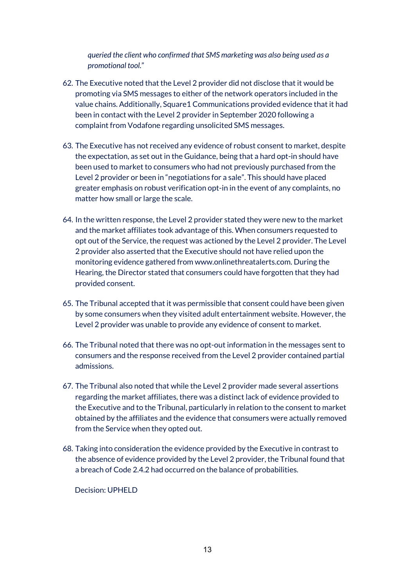*queried the client who confirmed that SMS marketing was also being used as a promotional tool.*"

- 62. The Executive noted that the Level 2 provider did not disclose that it would be promoting via SMS messages to either of the network operators included in the value chains. Additionally, Square1 Communications provided evidence that it had been in contact with the Level 2 provider in September 2020 following a complaint from Vodafone regarding unsolicited SMS messages.
- 63. The Executive has not received any evidence of robust consent to market, despite the expectation, as set out in the Guidance, being that a hard opt-in should have been used to market to consumers who had not previously purchased from the Level 2 provider or been in "negotiations for a sale". This should have placed greater emphasis on robust verification opt-in in the event of any complaints, no matter how small or large the scale.
- 64. In the written response, the Level 2 provider stated they were new to the market and the market affiliates took advantage of this. When consumers requested to opt out of the Service, the request was actioned by the Level 2 provider. The Level 2 provider also asserted that the Executive should not have relied upon the monitoring evidence gathered from www.onlinethreatalerts.com. During the Hearing, the Director stated that consumers could have forgotten that they had provided consent.
- 65. The Tribunal accepted that it was permissible that consent could have been given by some consumers when they visited adult entertainment website. However, the Level 2 provider was unable to provide any evidence of consent to market.
- 66. The Tribunal noted that there was no opt-out information in the messages sent to consumers and the response received from the Level 2 provider contained partial admissions.
- 67. The Tribunal also noted that while the Level 2 provider made several assertions regarding the market affiliates, there was a distinct lack of evidence provided to the Executive and to the Tribunal, particularly in relation to the consent to market obtained by the affiliates and the evidence that consumers were actually removed from the Service when they opted out.
- 68. Taking into consideration the evidence provided by the Executive in contrast to the absence of evidence provided by the Level 2 provider, the Tribunal found that a breach of Code 2.4.2 had occurred on the balance of probabilities.

Decision: UPHELD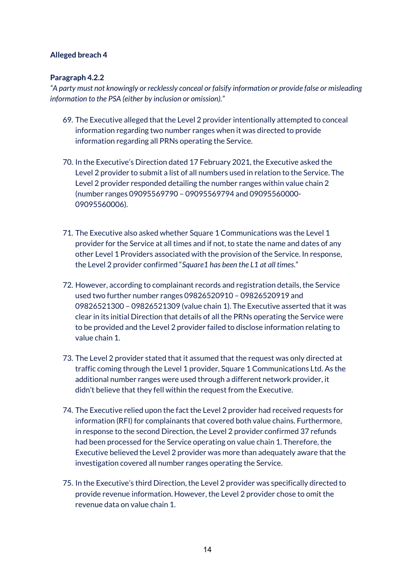### **Alleged breach 4**

### **Paragraph 4.2.2**

*"A party must not knowingly or recklessly conceal or falsify information or provide false or misleading information to the PSA (either by inclusion or omission)."*

- 69. The Executive alleged that the Level 2 provider intentionally attempted to conceal information regarding two number ranges when it was directed to provide information regarding all PRNs operating the Service.
- 70. In the Executive's Direction dated 17 February 2021, the Executive asked the Level 2 provider to submit a list of all numbers used in relation to the Service. The Level 2 provider responded detailing the number ranges within value chain 2 (number ranges 09095569790 – 09095569794 and 09095560000- 09095560006).
- 71. The Executive also asked whether Square 1 Communications was the Level 1 provider for the Service at all times and if not, to state the name and dates of any other Level 1 Providers associated with the provision of the Service. In response, the Level 2 provider confirmed "*Square1 has been the L1 at all times*."
- 72. However, according to complainant records and registration details, the Service used two further number ranges 09826520910 – 09826520919 and 09826521300 – 09826521309 (value chain 1). The Executive asserted that it was clear in its initial Direction that details of all the PRNs operating the Service were to be provided and the Level 2 provider failed to disclose information relating to value chain 1.
- 73. The Level 2 provider stated that it assumed that the request was only directed at traffic coming through the Level 1 provider, Square 1 Communications Ltd. As the additional number ranges were used through a different network provider, it didn't believe that they fell within the request from the Executive.
- 74. The Executive relied upon the fact the Level 2 provider had received requests for information (RFI) for complainants that covered both value chains. Furthermore, in response to the second Direction, the Level 2 provider confirmed 37 refunds had been processed for the Service operating on value chain 1. Therefore, the Executive believed the Level 2 provider was more than adequately aware that the investigation covered all number ranges operating the Service.
- 75. In the Executive's third Direction, the Level 2 provider was specifically directed to provide revenue information. However, the Level 2 provider chose to omit the revenue data on value chain 1.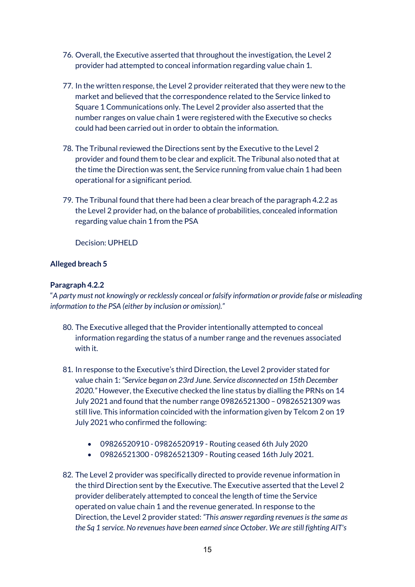- 76. Overall, the Executive asserted that throughout the investigation, the Level 2 provider had attempted to conceal information regarding value chain 1.
- 77. In the written response, the Level 2 provider reiterated that they were new to the market and believed that the correspondence related to the Service linked to Square 1 Communications only. The Level 2 provider also asserted that the number ranges on value chain 1 were registered with the Executive so checks could had been carried out in order to obtain the information.
- 78. The Tribunal reviewed the Directions sent by the Executive to the Level 2 provider and found them to be clear and explicit. The Tribunal also noted that at the time the Direction was sent, the Service running from value chain 1 had been operational for a significant period.
- 79. The Tribunal found that there had been a clear breach of the paragraph 4.2.2 as the Level 2 provider had, on the balance of probabilities, concealed information regarding value chain 1 from the PSA

Decision: UPHELD

### **Alleged breach 5**

### **Paragraph 4.2.2**

"*A party must not knowingly or recklessly conceal or falsify information or provide false or misleading information to the PSA (either by inclusion or omission)."*

- 80. The Executive alleged that the Provider intentionally attempted to conceal information regarding the status of a number range and the revenues associated with it.
- 81. In response to the Executive's third Direction, the Level 2 provider stated for value chain 1: *"Service began on 23rd June. Service disconnected on 15th December 2020."* However, the Executive checked the line status by dialling the PRNs on 14 July 2021 and found that the number range 09826521300 – 09826521309 was still live. This information coincided with the information given by Telcom 2 on 19 July 2021 who confirmed the following:
	- 09826520910 09826520919 Routing ceased 6th July 2020
	- 09826521300 09826521309 Routing ceased 16th July 2021.
- 82. The Level 2 provider was specifically directed to provide revenue information in the third Direction sent by the Executive. The Executive asserted that the Level 2 provider deliberately attempted to conceal the length of time the Service operated on value chain 1 and the revenue generated. In response to the Direction, the Level 2 provider stated: *"This answer regarding revenues is the same as the Sq 1 service. No revenues have been earned since October. We are still fighting AIT's*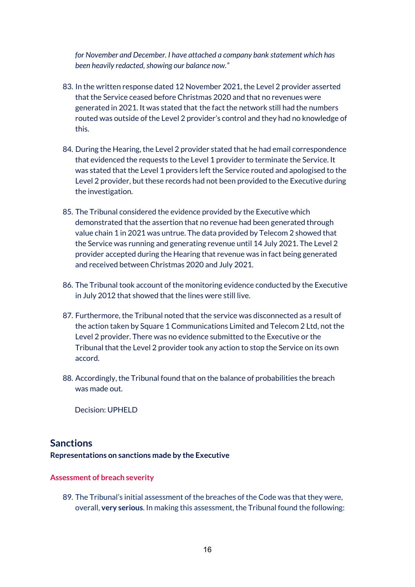*for November and December. I have attached a company bank statement which has been heavily redacted, showing our balance now."*

- 83. In the written response dated 12 November 2021, the Level 2 provider asserted that the Service ceased before Christmas 2020 and that no revenues were generated in 2021. It was stated that the fact the network still had the numbers routed was outside of the Level 2 provider's control and they had no knowledge of this.
- 84. During the Hearing, the Level 2 provider stated that he had email correspondence that evidenced the requests to the Level 1 provider to terminate the Service. It was stated that the Level 1 providers left the Service routed and apologised to the Level 2 provider, but these records had not been provided to the Executive during the investigation.
- 85. The Tribunal considered the evidence provided by the Executive which demonstrated that the assertion that no revenue had been generated through value chain 1 in 2021 was untrue. The data provided by Telecom 2 showed that the Service was running and generating revenue until 14 July 2021. The Level 2 provider accepted during the Hearing that revenue was in fact being generated and received between Christmas 2020 and July 2021.
- 86. The Tribunal took account of the monitoring evidence conducted by the Executive in July 2012 that showed that the lines were still live.
- 87. Furthermore, the Tribunal noted that the service was disconnected as a result of the action taken by Square 1 Communications Limited and Telecom 2 Ltd, not the Level 2 provider. There was no evidence submitted to the Executive or the Tribunal that the Level 2 provider took any action to stop the Service on its own accord.
- 88. Accordingly, the Tribunal found that on the balance of probabilities the breach was made out.

Decision: UPHELD

## **Sanctions**

**Representations on sanctions made by the Executive**

#### **Assessment of breach severity**

89. The Tribunal's initial assessment of the breaches of the Code was that they were, overall, **very serious**. In making this assessment, the Tribunal found the following: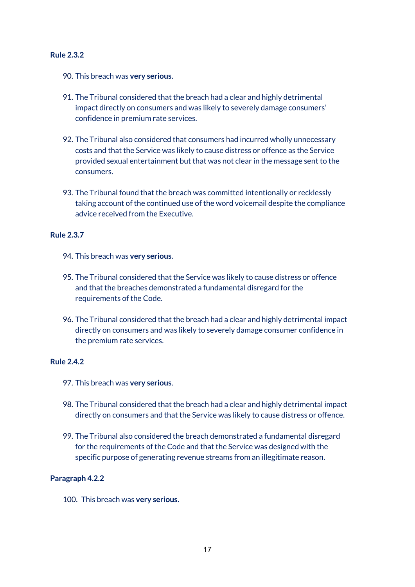### **Rule 2.3.2**

- 90. This breach was **very serious**.
- 91. The Tribunal considered that the breach had a clear and highly detrimental impact directly on consumers and was likely to severely damage consumers' confidence in premium rate services.
- 92. The Tribunal also considered that consumers had incurred wholly unnecessary costs and that the Service was likely to cause distress or offence as the Service provided sexual entertainment but that was not clear in the message sent to the consumers.
- 93. The Tribunal found that the breach was committed intentionally or recklessly taking account of the continued use of the word voicemail despite the compliance advice received from the Executive.

### **Rule 2.3.7**

- 94. This breach was **very serious**.
- 95. The Tribunal considered that the Service was likely to cause distress or offence and that the breaches demonstrated a fundamental disregard for the requirements of the Code.
- 96. The Tribunal considered that the breach had a clear and highly detrimental impact directly on consumers and was likely to severely damage consumer confidence in the premium rate services.

### **Rule 2.4.2**

- 97. This breach was **very serious**.
- 98. The Tribunal considered that the breach had a clear and highly detrimental impact directly on consumers and that the Service was likely to cause distress or offence.
- 99. The Tribunal also considered the breach demonstrated a fundamental disregard for the requirements of the Code and that the Service was designed with the specific purpose of generating revenue streams from an illegitimate reason.

### **Paragraph 4.2.2**

100. This breach was **very serious**.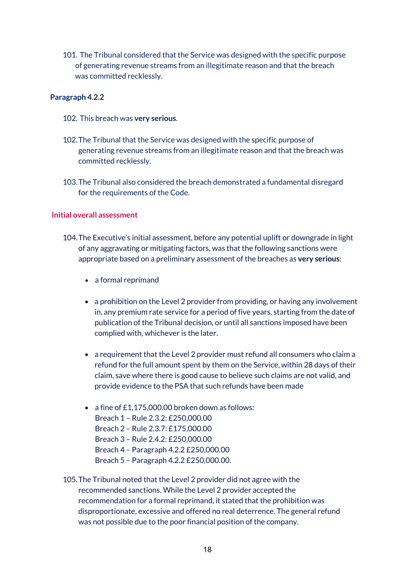101. The Tribunal considered that the Service was designed with the specific purpose of generating revenue streams from an illegitimate reason and that the breach was committed recklessly.

### **Paragraph 4.2.2**

- 102. This breach was **very serious**.
- 102.The Tribunal that the Service was designed with the specific purpose of generating revenue streams from an illegitimate reason and that the breach was committed recklessly.
- 103.The Tribunal also considered the breach demonstrated a fundamental disregard for the requirements of the Code.

#### **Initial overall assessment**

- 104.The Executive's initial assessment, before any potential uplift or downgrade in light of any aggravating or mitigating factors, was that the following sanctions were appropriate based on a preliminary assessment of the breaches as **very serious**:
	- a formal reprimand
	- a prohibition on the Level 2 provider from providing, or having any involvement in, any premium rate service for a period of five years, starting from the date of publication of the Tribunal decision, or until all sanctions imposed have been complied with, whichever is the later.
	- a requirement that the Level 2 provider must refund all consumers who claim a refund for the full amount spent by them on the Service, within 28 days of their claim, save where there is good cause to believe such claims are not valid, and provide evidence to the PSA that such refunds have been made
	- a fine of £1,175,000.00 broken down as follows:
		- Breach 1 Rule 2.3.2: £250,000.00
		- Breach 2 Rule 2.3.7: £175,000.00
		- Breach 3 Rule 2.4.2: £250,000.00
		- Breach 4 Paragraph 4.2.2 £250,000.00
		- Breach 5 Paragraph 4.2.2 £250,000.00.
- 105.The Tribunal noted that the Level 2 provider did not agree with the recommended sanctions. While the Level 2 provider accepted the recommendation for a formal reprimand, it stated that the prohibition was disproportionate, excessive and offered no real deterrence. The general refund was not possible due to the poor financial position of the company.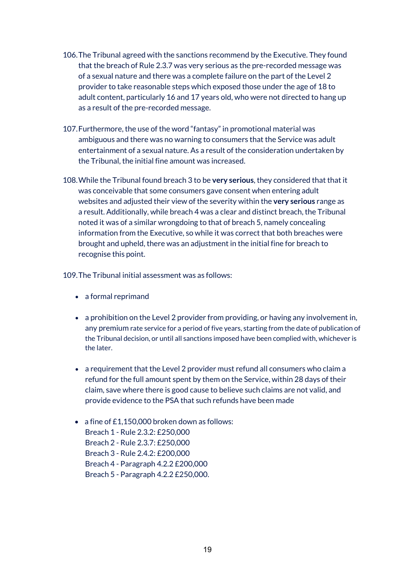- 106.The Tribunal agreed with the sanctions recommend by the Executive. They found that the breach of Rule 2.3.7 was very serious as the pre-recorded message was of a sexual nature and there was a complete failure on the part of the Level 2 provider to take reasonable steps which exposed those under the age of 18 to adult content, particularly 16 and 17 years old, who were not directed to hang up as a result of the pre-recorded message.
- 107.Furthermore, the use of the word "fantasy" in promotional material was ambiguous and there was no warning to consumers that the Service was adult entertainment of a sexual nature. As a result of the consideration undertaken by the Tribunal, the initial fine amount was increased.
- 108.While the Tribunal found breach 3 to be **very serious**, they considered that that it was conceivable that some consumers gave consent when entering adult websites and adjusted their view of the severity within the **very serious** range as a result. Additionally, while breach 4 was a clear and distinct breach, the Tribunal noted it was of a similar wrongdoing to that of breach 5, namely concealing information from the Executive, so while it was correct that both breaches were brought and upheld, there was an adjustment in the initial fine for breach to recognise this point.

109.The Tribunal initial assessment was as follows:

- a formal reprimand
- a prohibition on the Level 2 provider from providing, or having any involvement in, any premium rate service for a period of five years, starting from the date of publication of the Tribunal decision, or until all sanctions imposed have been complied with, whichever is the later.
- a requirement that the Level 2 provider must refund all consumers who claim a refund for the full amount spent by them on the Service, within 28 days of their claim, save where there is good cause to believe such claims are not valid, and provide evidence to the PSA that such refunds have been made
- a fine of £1,150,000 broken down as follows: Breach 1 - Rule 2.3.2: £250,000 Breach 2 - Rule 2.3.7: £250,000 Breach 3 - Rule 2.4.2: £200,000 Breach 4 - Paragraph 4.2.2 £200,000 Breach 5 - Paragraph 4.2.2 £250,000.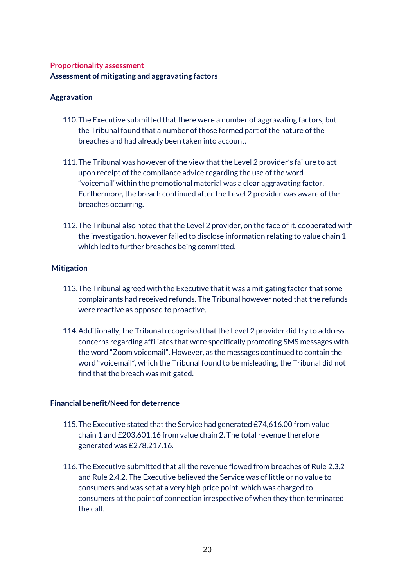### **Proportionality assessment Assessment of mitigating and aggravating factors**

### **Aggravation**

- 110.The Executive submitted that there were a number of aggravating factors, but the Tribunal found that a number of those formed part of the nature of the breaches and had already been taken into account.
- 111.The Tribunal was however of the view that the Level 2 provider's failure to act upon receipt of the compliance advice regarding the use of the word "voicemail"within the promotional material was a clear aggravating factor. Furthermore, the breach continued after the Level 2 provider was aware of the breaches occurring.
- 112.The Tribunal also noted that the Level 2 provider, on the face of it, cooperated with the investigation, however failed to disclose information relating to value chain 1 which led to further breaches being committed.

### **Mitigation**

- 113.The Tribunal agreed with the Executive that it was a mitigating factor that some complainants had received refunds. The Tribunal however noted that the refunds were reactive as opposed to proactive.
- 114.Additionally, the Tribunal recognised that the Level 2 provider did try to address concerns regarding affiliates that were specifically promoting SMS messages with the word "Zoom voicemail". However, as the messages continued to contain the word "voicemail", which the Tribunal found to be misleading, the Tribunal did not find that the breach was mitigated.

### **Financial benefit/Need for deterrence**

- 115.The Executive stated that the Service had generated £74,616.00 from value chain 1 and £203,601.16 from value chain 2. The total revenue therefore generated was £278,217.16.
- 116.The Executive submitted that all the revenue flowed from breaches of Rule 2.3.2 and Rule 2.4.2. The Executive believed the Service was of little or no value to consumers and was set at a very high price point, which was charged to consumers at the point of connection irrespective of when they then terminated the call.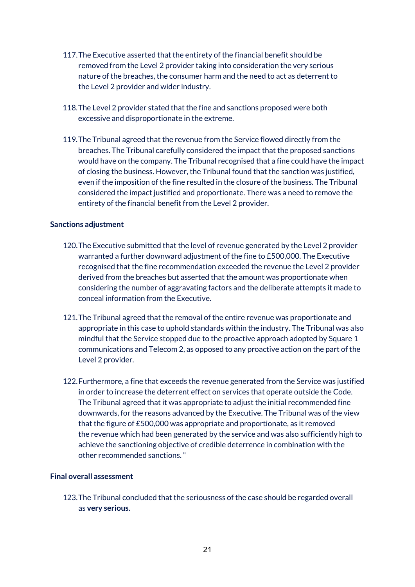- 117.The Executive asserted that the entirety of the financial benefit should be removed from the Level 2 provider taking into consideration the very serious nature of the breaches, the consumer harm and the need to act as deterrent to the Level 2 provider and wider industry.
- 118.The Level 2 provider stated that the fine and sanctions proposed were both excessive and disproportionate in the extreme.
- 119.The Tribunal agreed that the revenue from the Service flowed directly from the breaches. The Tribunal carefully considered the impact that the proposed sanctions would have on the company. The Tribunal recognised that a fine could have the impact of closing the business. However, the Tribunal found that the sanction was justified, even if the imposition of the fine resulted in the closure of the business. The Tribunal considered the impact justified and proportionate. There was a need to remove the entirety of the financial benefit from the Level 2 provider.

#### **Sanctions adjustment**

- 120.The Executive submitted that the level of revenue generated by the Level 2 provider warranted a further downward adjustment of the fine to £500,000. The Executive recognised that the fine recommendation exceeded the revenue the Level 2 provider derived from the breaches but asserted that the amount was proportionate when considering the number of aggravating factors and the deliberate attempts it made to conceal information from the Executive.
- 121.The Tribunal agreed that the removal of the entire revenue was proportionate and appropriate in this case to uphold standards within the industry. The Tribunal was also mindful that the Service stopped due to the proactive approach adopted by Square 1 communications and Telecom 2, as opposed to any proactive action on the part of the Level 2 provider.
- 122.Furthermore, a fine that exceeds the revenue generated from the Service was justified in order to increase the deterrent effect on services that operate outside the Code. The Tribunal agreed that it was appropriate to adjust the initial recommended fine downwards, for the reasons advanced by the Executive. The Tribunal was of the view that the figure of £500,000 was appropriate and proportionate, as it removed the revenue which had been generated by the service and was also sufficiently high to achieve the sanctioning objective of credible deterrence in combination with the other recommended sanctions."

### **Final overall assessment**

123.The Tribunal concluded that the seriousness of the case should be regarded overall as **very serious**.